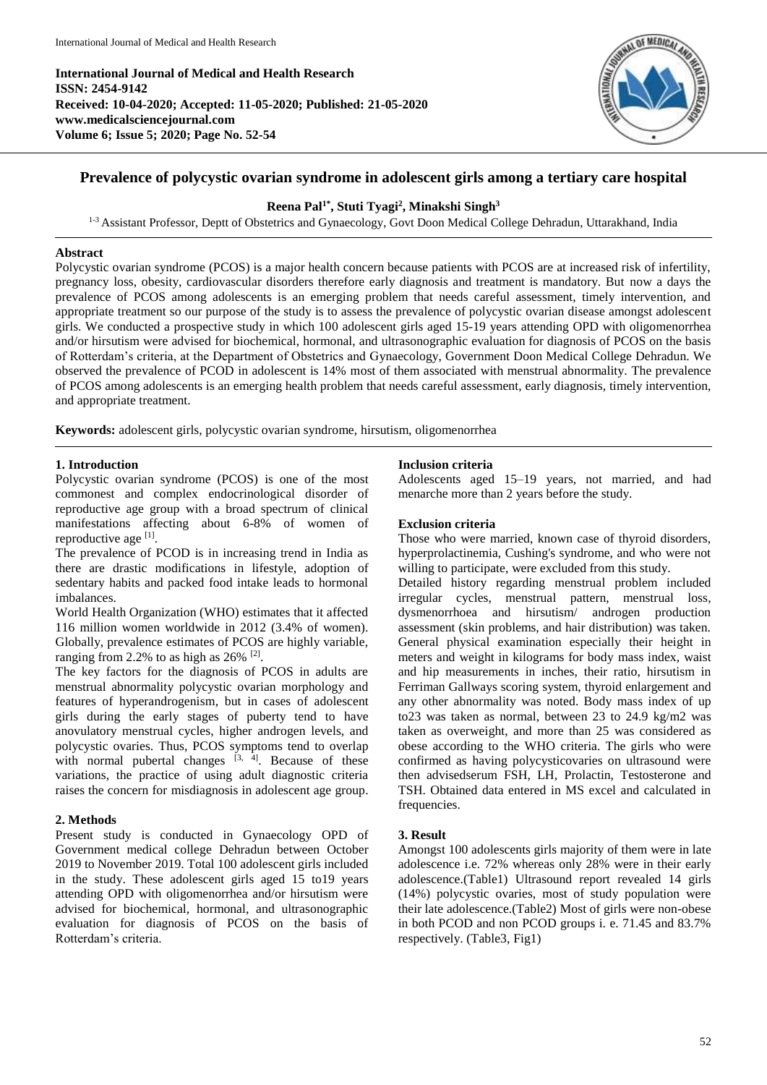**International Journal of Medical and Health Research ISSN: 2454-9142 Received: 10-04-2020; Accepted: 11-05-2020; Published: 21-05-2020 www.medicalsciencejournal.com Volume 6; Issue 5; 2020; Page No. 52-54**



# **Prevalence of polycystic ovarian syndrome in adolescent girls among a tertiary care hospital**

## **Reena Pal1\* , Stuti Tyagi 2 , Minakshi Singh<sup>3</sup>**

<sup>1-3</sup> Assistant Professor, Deptt of Obstetrics and Gynaecology, Govt Doon Medical College Dehradun, Uttarakhand, India

### **Abstract**

Polycystic ovarian syndrome (PCOS) is a major health concern because patients with PCOS are at increased risk of infertility, pregnancy loss, obesity, cardiovascular disorders therefore early diagnosis and treatment is mandatory. But now a days the prevalence of PCOS among adolescents is an emerging problem that needs careful assessment, timely intervention, and appropriate treatment so our purpose of the study is to assess the prevalence of polycystic ovarian disease amongst adolescent girls. We conducted a prospective study in which 100 adolescent girls aged 15-19 years attending OPD with oligomenorrhea and/or hirsutism were advised for biochemical, hormonal, and ultrasonographic evaluation for diagnosis of PCOS on the basis of Rotterdam's criteria, at the Department of Obstetrics and Gynaecology, Government Doon Medical College Dehradun. We observed the prevalence of PCOD in adolescent is 14% most of them associated with menstrual abnormality. The prevalence of PCOS among adolescents is an emerging health problem that needs careful assessment, early diagnosis, timely intervention, and appropriate treatment.

**Keywords:** adolescent girls, polycystic ovarian syndrome, hirsutism, oligomenorrhea

### **1. Introduction**

Polycystic ovarian syndrome (PCOS) is one of the most commonest and complex endocrinological disorder of reproductive age group with a broad spectrum of clinical manifestations affecting about 6-8% of women of reproductive age [1].

The prevalence of PCOD is in increasing trend in India as there are drastic modifications in lifestyle, adoption of sedentary habits and packed food intake leads to hormonal imbalances.

World Health Organization (WHO) estimates that it affected 116 million women worldwide in 2012 (3.4% of women). Globally, prevalence estimates of PCOS are highly variable, ranging from 2.2% to as high as  $26\%$ <sup>[2]</sup>.

The key factors for the diagnosis of PCOS in adults are menstrual abnormality polycystic ovarian morphology and features of hyperandrogenism, but in cases of adolescent girls during the early stages of puberty tend to have anovulatory menstrual cycles, higher androgen levels, and polycystic ovaries. Thus, PCOS symptoms tend to overlap with normal pubertal changes  $[3, 4]$ . Because of these variations, the practice of using adult diagnostic criteria raises the concern for misdiagnosis in adolescent age group.

### **2. Methods**

Present study is conducted in Gynaecology OPD of Government medical college Dehradun between October 2019 to November 2019. Total 100 adolescent girls included in the study. These adolescent girls aged 15 to19 years attending OPD with oligomenorrhea and/or hirsutism were advised for biochemical, hormonal, and ultrasonographic evaluation for diagnosis of PCOS on the basis of Rotterdam's criteria.

#### **Inclusion criteria**

Adolescents aged 15–19 years, not married, and had menarche more than 2 years before the study.

#### **Exclusion criteria**

Those who were married, known case of thyroid disorders, hyperprolactinemia, Cushing's syndrome, and who were not willing to participate, were excluded from this study.

Detailed history regarding menstrual problem included irregular cycles, menstrual pattern, menstrual loss, dysmenorrhoea and hirsutism/ androgen production assessment (skin problems, and hair distribution) was taken. General physical examination especially their height in meters and weight in kilograms for body mass index, waist and hip measurements in inches, their ratio, hirsutism in Ferriman Gallways scoring system, thyroid enlargement and any other abnormality was noted. Body mass index of up to23 was taken as normal, between 23 to 24.9 kg/m2 was taken as overweight, and more than 25 was considered as obese according to the WHO criteria. The girls who were confirmed as having polycysticovaries on ultrasound were then advisedserum FSH, LH, Prolactin, Testosterone and TSH. Obtained data entered in MS excel and calculated in frequencies.

### **3. Result**

Amongst 100 adolescents girls majority of them were in late adolescence i.e. 72% whereas only 28% were in their early adolescence.(Table1) Ultrasound report revealed 14 girls (14%) polycystic ovaries, most of study population were their late adolescence.(Table2) Most of girls were non-obese in both PCOD and non PCOD groups i. e. 71.45 and 83.7% respectively. (Table3, Fig1)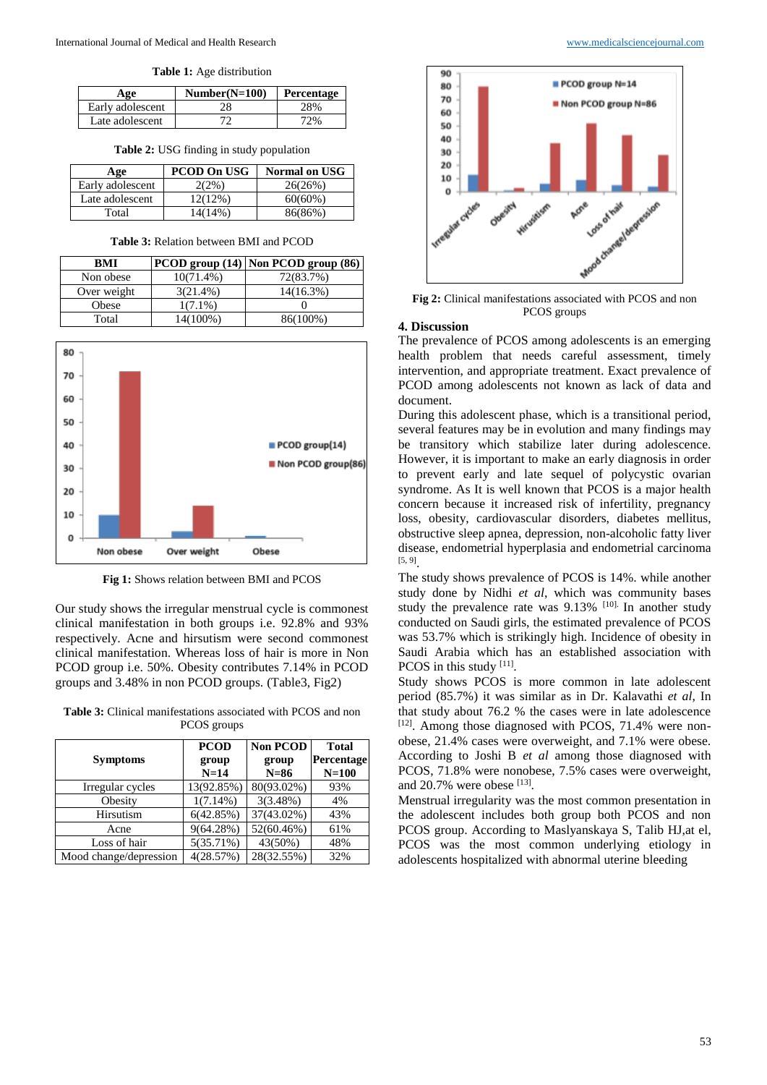**Table 1:** Age distribution

| Age              | $Number(N=100)$ | Percentage |
|------------------|-----------------|------------|
| Early adolescent | 28              | 28%        |
| Late adolescent  |                 | 72%        |

**Table 2:** USG finding in study population

| Age              | <b>PCOD On USG</b> | <b>Normal on USG</b> |
|------------------|--------------------|----------------------|
| Early adolescent | 2(2%)              | 26(26%)              |
| Late adolescent  | 12(12%)            | $60(60\%)$           |
| Total            | 14(14%)            | 86(86%)              |

|  | <b>Table 3: Relation between BMI and PCOD</b> |  |  |  |  |
|--|-----------------------------------------------|--|--|--|--|
|--|-----------------------------------------------|--|--|--|--|

| BMI         |              | PCOD group (14) Non PCOD group (86) |
|-------------|--------------|-------------------------------------|
| Non obese   | $10(71.4\%)$ | 72(83.7%)                           |
| Over weight | $3(21.4\%)$  | 14(16.3%)                           |
| Obese       | $1(7.1\%)$   |                                     |
| Total       | 14(100%)     | 86(100%)                            |



**Fig 1:** Shows relation between BMI and PCOS

Our study shows the irregular menstrual cycle is commonest clinical manifestation in both groups i.e. 92.8% and 93% respectively. Acne and hirsutism were second commonest clinical manifestation. Whereas loss of hair is more in Non PCOD group i.e. 50%. Obesity contributes 7.14% in PCOD groups and 3.48% in non PCOD groups. (Table3, Fig2)

**Table 3:** Clinical manifestations associated with PCOS and non PCOS groups

|                        | <b>PCOD</b> | <b>Non PCOD</b> | <b>Total</b> |
|------------------------|-------------|-----------------|--------------|
| <b>Symptoms</b>        | group       | group           | Percentage   |
|                        | $N=14$      | $N=86$          | $N=100$      |
| Irregular cycles       | 13(92.85%)  | 80(93.02%)      | 93%          |
| Obesity                | $1(7.14\%)$ | 3(3.48%)        | 4%           |
| Hirsutism              | 6(42.85%)   | 37(43.02%)      | 43%          |
| Acne                   | 9(64.28%)   | 52(60.46%)      | 61%          |
| Loss of hair           | 5(35.71%)   | 43(50%)         | 48%          |
| Mood change/depression | 4(28.57%)   | 28(32.55%)      | 32%          |



**Fig 2:** Clinical manifestations associated with PCOS and non PCOS groups

#### **4. Discussion**

The prevalence of PCOS among adolescents is an emerging health problem that needs careful assessment, timely intervention, and appropriate treatment. Exact prevalence of PCOD among adolescents not known as lack of data and document.

During this adolescent phase, which is a transitional period, several features may be in evolution and many findings may be transitory which stabilize later during adolescence. However, it is important to make an early diagnosis in order to prevent early and late sequel of polycystic ovarian syndrome. As It is well known that PCOS is a major health concern because it increased risk of infertility, pregnancy loss, obesity, cardiovascular disorders, diabetes mellitus, obstructive sleep apnea, depression, non-alcoholic fatty liver disease, endometrial hyperplasia and endometrial carcinoma [5, 9] .

The study shows prevalence of PCOS is 14%. while another study done by Nidhi *et al*, which was community bases study the prevalence rate was  $9.13\%$  [10]. In another study conducted on Saudi girls, the estimated prevalence of PCOS was 53.7% which is strikingly high. Incidence of obesity in Saudi Arabia which has an established association with PCOS in this study [11].

Study shows PCOS is more common in late adolescent period (85.7%) it was similar as in Dr. Kalavathi *et al*, In that study about 76.2 % the cases were in late adolescence [12]. Among those diagnosed with PCOS, 71.4% were nonobese, 21.4% cases were overweight, and 7.1% were obese. According to Joshi B *et al* among those diagnosed with PCOS, 71.8% were nonobese, 7.5% cases were overweight, and  $20.7\%$  were obese  $^{[13]}$ .

Menstrual irregularity was the most common presentation in the adolescent includes both group both PCOS and non PCOS group. According to Maslyanskaya S, Talib HJ,at el, PCOS was the most common underlying etiology in adolescents hospitalized with abnormal uterine bleeding